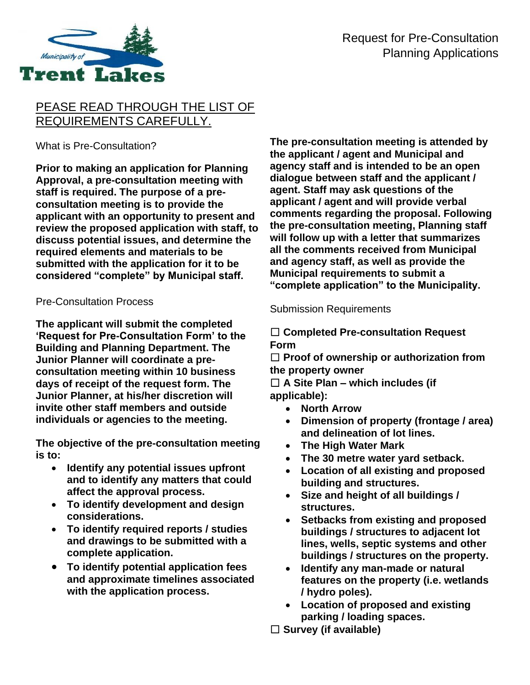

### PEASE READ THROUGH THE LIST OF REQUIREMENTS CAREFULLY.

What is Pre-Consultation?

**Prior to making an application for Planning Approval, a pre-consultation meeting with staff is required. The purpose of a preconsultation meeting is to provide the applicant with an opportunity to present and review the proposed application with staff, to discuss potential issues, and determine the required elements and materials to be submitted with the application for it to be considered "complete" by Municipal staff.**

#### Pre-Consultation Process

**The applicant will submit the completed 'Request for Pre-Consultation Form' to the Building and Planning Department. The Junior Planner will coordinate a preconsultation meeting within 10 business days of receipt of the request form. The Junior Planner, at his/her discretion will invite other staff members and outside individuals or agencies to the meeting.** 

**The objective of the pre-consultation meeting is to:**

- **Identify any potential issues upfront and to identify any matters that could affect the approval process.**
- **To identify development and design considerations.**
- **To identify required reports / studies and drawings to be submitted with a complete application.**
- **To identify potential application fees and approximate timelines associated with the application process.**

**The pre-consultation meeting is attended by the applicant / agent and Municipal and agency staff and is intended to be an open dialogue between staff and the applicant / agent. Staff may ask questions of the applicant / agent and will provide verbal comments regarding the proposal. Following the pre-consultation meeting, Planning staff will follow up with a letter that summarizes all the comments received from Municipal and agency staff, as well as provide the Municipal requirements to submit a "complete application" to the Municipality.**

Submission Requirements

### ☐ **Completed Pre-consultation Request Form**

☐ **Proof of ownership or authorization from the property owner**

☐ **A Site Plan – which includes (if applicable):**

- **North Arrow**
- **Dimension of property (frontage / area) and delineation of lot lines.**
- **The High Water Mark**
- **The 30 metre water yard setback.**
- **Location of all existing and proposed building and structures.**
- **Size and height of all buildings / structures.**
- **Setbacks from existing and proposed buildings / structures to adjacent lot lines, wells, septic systems and other buildings / structures on the property.**
- **Identify any man-made or natural features on the property (i.e. wetlands / hydro poles).**
- **Location of proposed and existing parking / loading spaces.**

☐ **Survey (if available)**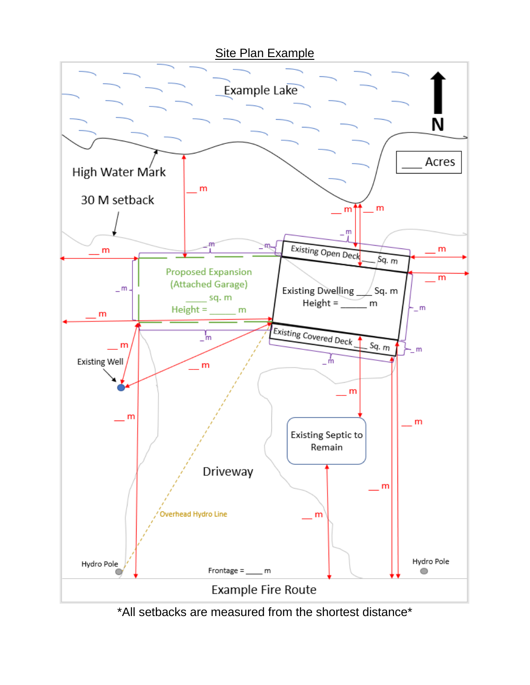



\*All setbacks are measured from the shortest distance\*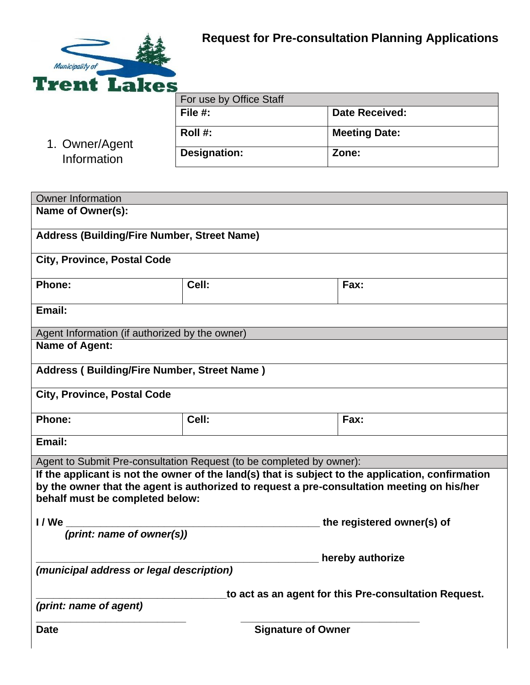

|                               | For use by Office Staff |                       |  |
|-------------------------------|-------------------------|-----------------------|--|
|                               | File $#$ :              | <b>Date Received:</b> |  |
| 1. Owner/Agent<br>Information | Roll #:                 | <b>Meeting Date:</b>  |  |
|                               | <b>Designation:</b>     | Zone:                 |  |

| <b>Owner Information</b>                                                                                                                                                                                                           |                                                                      |      |  |  |  |
|------------------------------------------------------------------------------------------------------------------------------------------------------------------------------------------------------------------------------------|----------------------------------------------------------------------|------|--|--|--|
| Name of Owner(s):                                                                                                                                                                                                                  |                                                                      |      |  |  |  |
| <b>Address (Building/Fire Number, Street Name)</b>                                                                                                                                                                                 |                                                                      |      |  |  |  |
| <b>City, Province, Postal Code</b>                                                                                                                                                                                                 |                                                                      |      |  |  |  |
| Phone:                                                                                                                                                                                                                             | Cell:                                                                | Fax: |  |  |  |
| Email:                                                                                                                                                                                                                             |                                                                      |      |  |  |  |
| Agent Information (if authorized by the owner)                                                                                                                                                                                     |                                                                      |      |  |  |  |
| <b>Name of Agent:</b>                                                                                                                                                                                                              |                                                                      |      |  |  |  |
| <b>Address (Building/Fire Number, Street Name)</b>                                                                                                                                                                                 |                                                                      |      |  |  |  |
| <b>City, Province, Postal Code</b>                                                                                                                                                                                                 |                                                                      |      |  |  |  |
| Phone:                                                                                                                                                                                                                             | Cell:                                                                | Fax: |  |  |  |
| Email:                                                                                                                                                                                                                             |                                                                      |      |  |  |  |
|                                                                                                                                                                                                                                    | Agent to Submit Pre-consultation Request (to be completed by owner): |      |  |  |  |
| If the applicant is not the owner of the land(s) that is subject to the application, confirmation<br>by the owner that the agent is authorized to request a pre-consultation meeting on his/her<br>behalf must be completed below: |                                                                      |      |  |  |  |
| I / We                                                                                                                                                                                                                             | the registered owner(s) of                                           |      |  |  |  |
| (print: name of owner(s))                                                                                                                                                                                                          |                                                                      |      |  |  |  |
|                                                                                                                                                                                                                                    | hereby authorize                                                     |      |  |  |  |
| <i>(municipal address or legal description)</i>                                                                                                                                                                                    |                                                                      |      |  |  |  |
| to act as an agent for this Pre-consultation Request.                                                                                                                                                                              |                                                                      |      |  |  |  |
| (print: name of agent)                                                                                                                                                                                                             |                                                                      |      |  |  |  |
| <b>Date</b>                                                                                                                                                                                                                        | <b>Signature of Owner</b>                                            |      |  |  |  |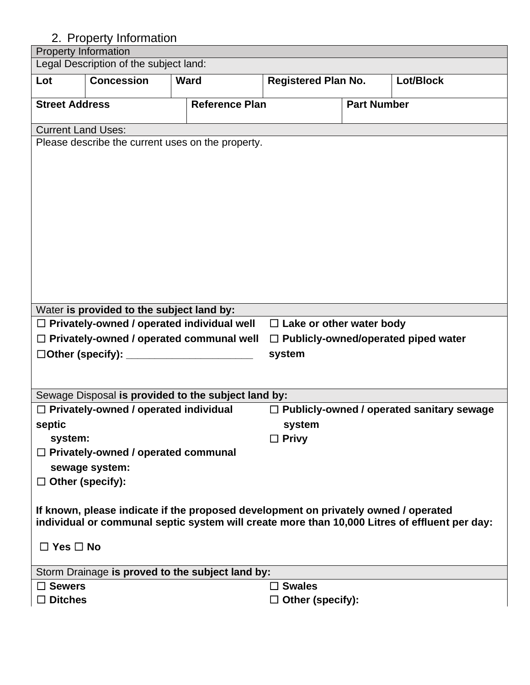## 2. Property Information

| <b>Property Information</b>                                                                   |                   |                                                     |                                 |                    |                                                  |
|-----------------------------------------------------------------------------------------------|-------------------|-----------------------------------------------------|---------------------------------|--------------------|--------------------------------------------------|
| Legal Description of the subject land:                                                        |                   |                                                     |                                 |                    |                                                  |
| Lot                                                                                           | <b>Concession</b> | <b>Ward</b>                                         | <b>Registered Plan No.</b>      |                    | Lot/Block                                        |
| <b>Street Address</b>                                                                         |                   | <b>Reference Plan</b>                               |                                 | <b>Part Number</b> |                                                  |
| <b>Current Land Uses:</b>                                                                     |                   |                                                     |                                 |                    |                                                  |
|                                                                                               |                   | Please describe the current uses on the property.   |                                 |                    |                                                  |
|                                                                                               |                   |                                                     |                                 |                    |                                                  |
|                                                                                               |                   |                                                     |                                 |                    |                                                  |
|                                                                                               |                   |                                                     |                                 |                    |                                                  |
|                                                                                               |                   |                                                     |                                 |                    |                                                  |
|                                                                                               |                   |                                                     |                                 |                    |                                                  |
|                                                                                               |                   |                                                     |                                 |                    |                                                  |
|                                                                                               |                   |                                                     |                                 |                    |                                                  |
|                                                                                               |                   |                                                     |                                 |                    |                                                  |
|                                                                                               |                   |                                                     |                                 |                    |                                                  |
|                                                                                               |                   |                                                     |                                 |                    |                                                  |
| Water is provided to the subject land by:                                                     |                   |                                                     |                                 |                    |                                                  |
|                                                                                               |                   | $\Box$ Privately-owned / operated individual well   | $\Box$ Lake or other water body |                    |                                                  |
|                                                                                               |                   | $\Box$ Privately-owned / operated communal well     |                                 |                    | $\Box$ Publicly-owned/operated piped water       |
|                                                                                               |                   |                                                     | system                          |                    |                                                  |
|                                                                                               |                   |                                                     |                                 |                    |                                                  |
|                                                                                               |                   |                                                     |                                 |                    |                                                  |
|                                                                                               |                   | Sewage Disposal is provided to the subject land by: |                                 |                    |                                                  |
| $\Box$ Privately-owned / operated individual                                                  |                   |                                                     |                                 |                    | $\Box$ Publicly-owned / operated sanitary sewage |
| septic                                                                                        |                   |                                                     | system                          |                    |                                                  |
| system:                                                                                       |                   |                                                     | $\Box$ Privy                    |                    |                                                  |
| $\Box$ Privately-owned / operated communal                                                    |                   |                                                     |                                 |                    |                                                  |
| sewage system:                                                                                |                   |                                                     |                                 |                    |                                                  |
| $\Box$ Other (specify):                                                                       |                   |                                                     |                                 |                    |                                                  |
|                                                                                               |                   |                                                     |                                 |                    |                                                  |
| If known, please indicate if the proposed development on privately owned / operated           |                   |                                                     |                                 |                    |                                                  |
| individual or communal septic system will create more than 10,000 Litres of effluent per day: |                   |                                                     |                                 |                    |                                                  |
| $\Box$ Yes $\Box$ No                                                                          |                   |                                                     |                                 |                    |                                                  |
|                                                                                               |                   |                                                     |                                 |                    |                                                  |
| Storm Drainage is proved to the subject land by:                                              |                   |                                                     |                                 |                    |                                                  |
| $\Box$ Sewers                                                                                 |                   |                                                     | $\square$ Swales                |                    |                                                  |
| $\Box$ Ditches                                                                                |                   |                                                     | $\Box$ Other (specify):         |                    |                                                  |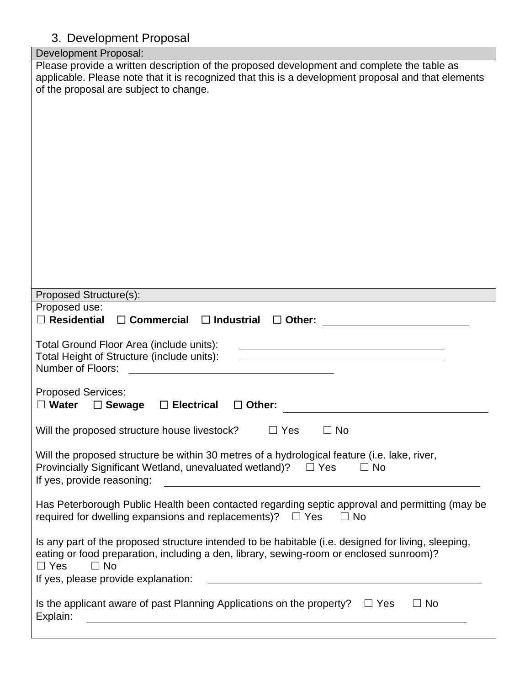# 3. Development Proposal

| Development Froposal.                                                                                                                                                                                                                                                                                                                                                                                |
|------------------------------------------------------------------------------------------------------------------------------------------------------------------------------------------------------------------------------------------------------------------------------------------------------------------------------------------------------------------------------------------------------|
| Please provide a written description of the proposed development and complete the table as<br>applicable. Please note that it is recognized that this is a development proposal and that elements<br>of the proposal are subject to change.                                                                                                                                                          |
|                                                                                                                                                                                                                                                                                                                                                                                                      |
| Proposed Structure(s):                                                                                                                                                                                                                                                                                                                                                                               |
| Proposed use:                                                                                                                                                                                                                                                                                                                                                                                        |
| $\Box$ Residential<br>$\square$ Commercial<br>$\Box$ Industrial<br>$\Box$ Other:                                                                                                                                                                                                                                                                                                                     |
| Total Ground Floor Area (include units):<br><u> 1989 - Johann Barn, mars eta bainar eta bainar eta baina eta baina eta baina eta baina eta baina eta baina e</u><br>Total Height of Structure (include units):<br><u> 1980 - Johann Barbara, martin amerikan personal (</u><br>Number of Floors:<br><b>Proposed Services:</b><br>$\Box$ Electrical<br>$\Box$ Water<br>$\Box$ Sewage<br>$\Box$ Other: |
| Will the proposed structure house livestock?<br>$\Box$ Yes<br>$\Box$ No                                                                                                                                                                                                                                                                                                                              |
| Will the proposed structure be within 30 metres of a hydrological feature (i.e. lake, river,<br>Provincially Significant Wetland, unevaluated wetland)?<br>$\Box$ Yes<br>$\Box$ No<br>If yes, provide reasoning:<br><u> 1980 - John Stein, Amerikaansk politiker (</u>                                                                                                                               |
| Has Peterborough Public Health been contacted regarding septic approval and permitting (may be<br>required for dwelling expansions and replacements)?<br>$\Box$ Yes<br>$\Box$ No                                                                                                                                                                                                                     |
| Is any part of the proposed structure intended to be habitable (i.e. designed for living, sleeping,<br>eating or food preparation, including a den, library, sewing-room or enclosed sunroom)?<br>$\Box$ No<br>$\Box$ Yes<br>If yes, please provide explanation:                                                                                                                                     |
| Is the applicant aware of past Planning Applications on the property?<br>$\sqsupset$ No<br>$\Box$ Yes<br>Explain:<br><u> 1989 - Johann Barn, mars eta bainar eta industrial eta bainar eta baina eta baina eta baina eta baina eta ba</u>                                                                                                                                                            |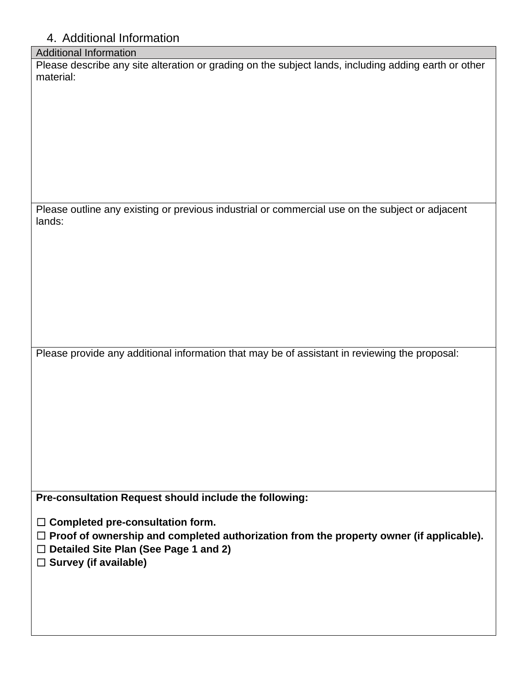### 4. Additional Information

### Additional Information

Please describe any site alteration or grading on the subject lands, including adding earth or other material:

Please outline any existing or previous industrial or commercial use on the subject or adjacent lands:

Please provide any additional information that may be of assistant in reviewing the proposal:

**Pre-consultation Request should include the following:**

☐ **Completed pre-consultation form.**

☐ **Proof of ownership and completed authorization from the property owner (if applicable).**

☐ **Detailed Site Plan (See Page 1 and 2)**

☐ **Survey (if available)**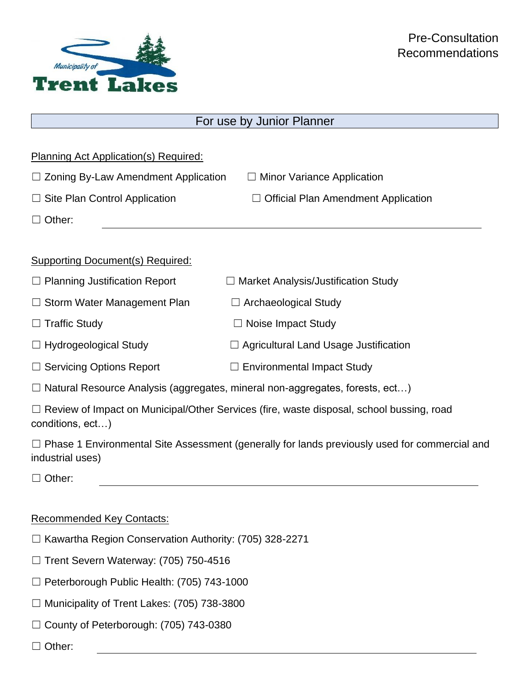

## For use by Junior Planner

| <b>Planning Act Application(s) Required:</b>                                                                             |                                              |  |  |  |
|--------------------------------------------------------------------------------------------------------------------------|----------------------------------------------|--|--|--|
| $\Box$ Zoning By-Law Amendment Application                                                                               | $\Box$ Minor Variance Application            |  |  |  |
| $\Box$ Site Plan Control Application                                                                                     | $\Box$ Official Plan Amendment Application   |  |  |  |
| $\Box$ Other:                                                                                                            |                                              |  |  |  |
|                                                                                                                          |                                              |  |  |  |
| <b>Supporting Document(s) Required:</b>                                                                                  |                                              |  |  |  |
| $\Box$ Planning Justification Report                                                                                     | $\Box$ Market Analysis/Justification Study   |  |  |  |
| $\Box$ Storm Water Management Plan                                                                                       | $\Box$ Archaeological Study                  |  |  |  |
| $\Box$ Traffic Study                                                                                                     | $\Box$ Noise Impact Study                    |  |  |  |
| $\Box$ Hydrogeological Study                                                                                             | $\Box$ Agricultural Land Usage Justification |  |  |  |
| $\Box$ Servicing Options Report                                                                                          | $\Box$ Environmental Impact Study            |  |  |  |
| $\Box$ Natural Resource Analysis (aggregates, mineral non-aggregates, forests, ect)                                      |                                              |  |  |  |
| □ Review of Impact on Municipal/Other Services (fire, waste disposal, school bussing, road<br>conditions, ect)           |                                              |  |  |  |
| $\Box$ Phase 1 Environmental Site Assessment (generally for lands previously used for commercial and<br>industrial uses) |                                              |  |  |  |
| $\Box$ Other:                                                                                                            |                                              |  |  |  |
|                                                                                                                          |                                              |  |  |  |
| <b>Recommended Key Contacts:</b>                                                                                         |                                              |  |  |  |
| □ Kawartha Region Conservation Authority: (705) 328-2271                                                                 |                                              |  |  |  |
| $\Box$ Trent Severn Waterway: (705) 750-4516                                                                             |                                              |  |  |  |
| □ Peterborough Public Health: (705) 743-1000                                                                             |                                              |  |  |  |

- ☐ Municipality of Trent Lakes: (705) 738-3800
- ☐ County of Peterborough: (705) 743-0380
- □ Other: